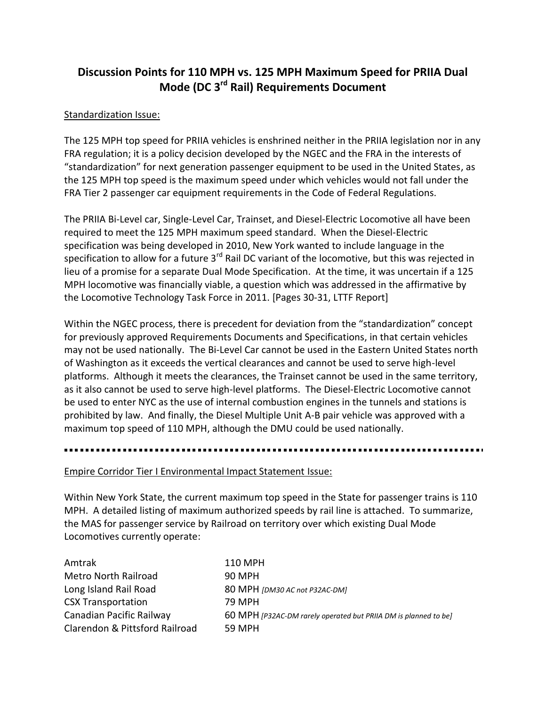# **Discussion Points for 110 MPH vs. 125 MPH Maximum Speed for PRIIA Dual Mode (DC 3rd Rail) Requirements Document**

### Standardization Issue:

The 125 MPH top speed for PRIIA vehicles is enshrined neither in the PRIIA legislation nor in any FRA regulation; it is a policy decision developed by the NGEC and the FRA in the interests of "standardization" for next generation passenger equipment to be used in the United States, as the 125 MPH top speed is the maximum speed under which vehicles would not fall under the FRA Tier 2 passenger car equipment requirements in the Code of Federal Regulations.

The PRIIA Bi-Level car, Single-Level Car, Trainset, and Diesel-Electric Locomotive all have been required to meet the 125 MPH maximum speed standard. When the Diesel-Electric specification was being developed in 2010, New York wanted to include language in the specification to allow for a future  $3^{rd}$  Rail DC variant of the locomotive, but this was rejected in lieu of a promise for a separate Dual Mode Specification. At the time, it was uncertain if a 125 MPH locomotive was financially viable, a question which was addressed in the affirmative by the Locomotive Technology Task Force in 2011. [Pages 30-31, LTTF Report]

Within the NGEC process, there is precedent for deviation from the "standardization" concept for previously approved Requirements Documents and Specifications, in that certain vehicles may not be used nationally. The Bi-Level Car cannot be used in the Eastern United States north of Washington as it exceeds the vertical clearances and cannot be used to serve high-level platforms. Although it meets the clearances, the Trainset cannot be used in the same territory, as it also cannot be used to serve high-level platforms. The Diesel-Electric Locomotive cannot be used to enter NYC as the use of internal combustion engines in the tunnels and stations is prohibited by law.And finally, the Diesel Multiple Unit A-B pair vehicle was approved with a maximum top speed of 110 MPH, although the DMU could be used nationally.

#### Empire Corridor Tier I Environmental Impact Statement Issue:

Within New York State, the current maximum top speed in the State for passenger trains is 110 MPH. A detailed listing of maximum authorized speeds by rail line is attached. To summarize, the MAS for passenger service by Railroad on territory over which existing Dual Mode Locomotives currently operate:

| Amtrak                         | 110 MPH                                                         |
|--------------------------------|-----------------------------------------------------------------|
| <b>Metro North Railroad</b>    | 90 MPH                                                          |
| Long Island Rail Road          | 80 MPH [DM30 AC not P32AC-DM]                                   |
| <b>CSX Transportation</b>      | 79 MPH                                                          |
| Canadian Pacific Railway       | 60 MPH [P32AC-DM rarely operated but PRIIA DM is planned to be] |
| Clarendon & Pittsford Railroad | 59 MPH                                                          |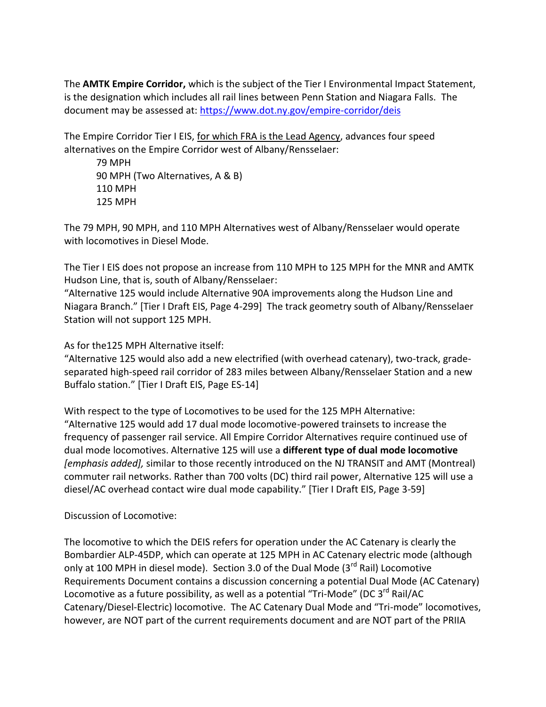The **AMTK Empire Corridor,** which is the subject of the Tier I Environmental Impact Statement, is the designation which includes all rail lines between Penn Station and Niagara Falls. The document may be assessed at:<https://www.dot.ny.gov/empire-corridor/deis>

The Empire Corridor Tier I EIS, for which FRA is the Lead Agency, advances four speed alternatives on the Empire Corridor west of Albany/Rensselaer:

79 MPH 90 MPH (Two Alternatives, A & B) 110 MPH 125 MPH

The 79 MPH, 90 MPH, and 110 MPH Alternatives west of Albany/Rensselaer would operate with locomotives in Diesel Mode.

The Tier I EIS does not propose an increase from 110 MPH to 125 MPH for the MNR and AMTK Hudson Line, that is, south of Albany/Rensselaer:

"Alternative 125 would include Alternative 90A improvements along the Hudson Line and Niagara Branch." [Tier I Draft EIS, Page 4-299] The track geometry south of Albany/Rensselaer Station will not support 125 MPH.

As for the125 MPH Alternative itself:

"Alternative 125 would also add a new electrified (with overhead catenary), two-track, gradeseparated high-speed rail corridor of 283 miles between Albany/Rensselaer Station and a new Buffalo station." [Tier I Draft EIS, Page ES-14]

With respect to the type of Locomotives to be used for the 125 MPH Alternative: "Alternative 125 would add 17 dual mode locomotive-powered trainsets to increase the frequency of passenger rail service. All Empire Corridor Alternatives require continued use of dual mode locomotives. Alternative 125 will use a **different type of dual mode locomotive** *[emphasis added],* similar to those recently introduced on the NJ TRANSIT and AMT (Montreal) commuter rail networks. Rather than 700 volts (DC) third rail power, Alternative 125 will use a diesel/AC overhead contact wire dual mode capability." [Tier I Draft EIS, Page 3-59]

Discussion of Locomotive:

The locomotive to which the DEIS refers for operation under the AC Catenary is clearly the Bombardier ALP-45DP, which can operate at 125 MPH in AC Catenary electric mode (although only at 100 MPH in diesel mode). Section 3.0 of the Dual Mode  $(3<sup>rd</sup>$  Rail) Locomotive Requirements Document contains a discussion concerning a potential Dual Mode (AC Catenary) Locomotive as a future possibility, as well as a potential "Tri-Mode" (DC 3<sup>rd</sup> Rail/AC Catenary/Diesel-Electric) locomotive. The AC Catenary Dual Mode and "Tri-mode" locomotives, however, are NOT part of the current requirements document and are NOT part of the PRIIA